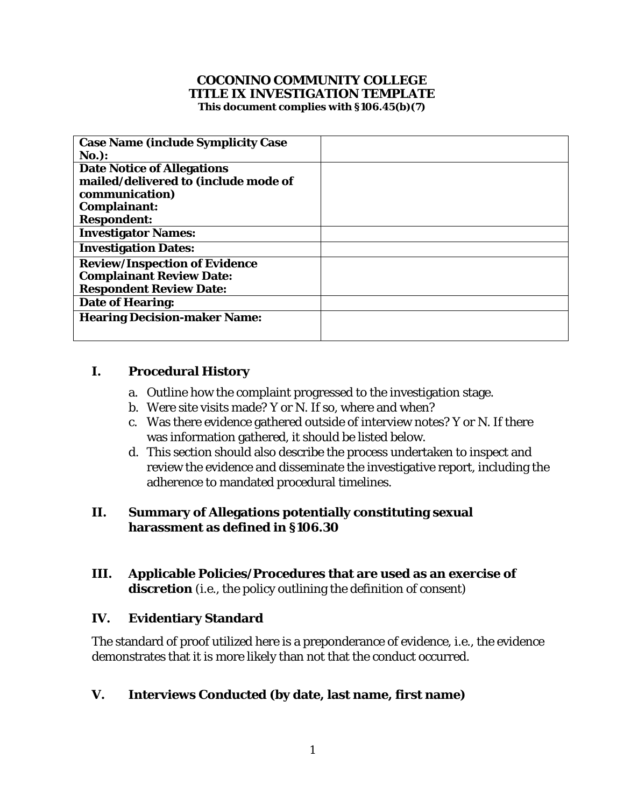#### **COCONINO COMMUNITY COLLEGE TITLE IX INVESTIGATION TEMPLATE This document complies with §106.45(b)(7)**

| <b>Case Name (include Symplicity Case</b> |  |
|-------------------------------------------|--|
| $No.$ :                                   |  |
| <b>Date Notice of Allegations</b>         |  |
| mailed/delivered to (include mode of      |  |
| communication)                            |  |
| Complainant:                              |  |
| <b>Respondent:</b>                        |  |
| <b>Investigator Names:</b>                |  |
| <b>Investigation Dates:</b>               |  |
| <b>Review/Inspection of Evidence</b>      |  |
| <b>Complainant Review Date:</b>           |  |
| <b>Respondent Review Date:</b>            |  |
| <b>Date of Hearing:</b>                   |  |
| <b>Hearing Decision-maker Name:</b>       |  |
|                                           |  |
|                                           |  |

# **I. Procedural History**

- a. Outline how the complaint progressed to the investigation stage.
- b. Were site visits made? Y or N. If so, where and when?
- was information gathered, it should be listed below. c. Was there evidence gathered outside of interview notes? Y or N. If there
- d. This section should also describe the process undertaken to inspect and review the evidence and disseminate the investigative report, including the adherence to mandated procedural timelines.

## **II. Summary of Allegations potentially constituting sexual harassment as defined in §106.30**

**III. Applicable Policies/Procedures that are used as an exercise of discretion** (i.e., the policy outlining the definition of consent)

#### **IV. Evidentiary Standard**

 The standard of proof utilized here is a preponderance of evidence, i.e., the evidence demonstrates that it is more likely than not that the conduct occurred.

## **V. Interviews Conducted (by date, last name, first name)**